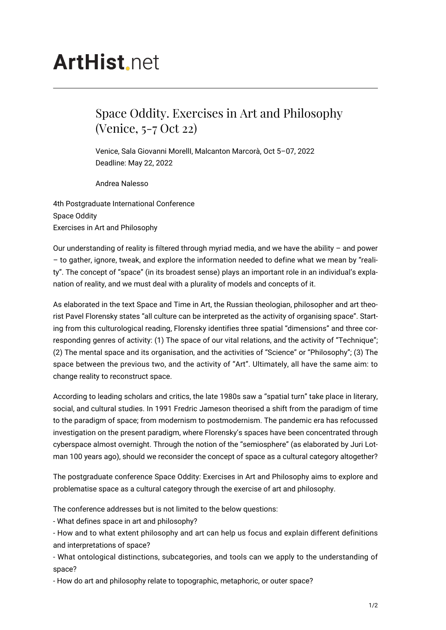## **ArtHist**, net

## Space Oddity. Exercises in Art and Philosophy (Venice, 5-7 Oct 22)

Venice, Sala Giovanni MorellI, Malcanton Marcorà, Oct 5–07, 2022 Deadline: May 22, 2022

Andrea Nalesso

4th Postgraduate International Conference Space Oddity Exercises in Art and Philosophy

Our understanding of reality is filtered through myriad media, and we have the ability  $-$  and power – to gather, ignore, tweak, and explore the information needed to define what we mean by "reality". The concept of "space" (in its broadest sense) plays an important role in an individual's explanation of reality, and we must deal with a plurality of models and concepts of it.

As elaborated in the text Space and Time in Art, the Russian theologian, philosopher and art theorist Pavel Florensky states "all culture can be interpreted as the activity of organising space". Starting from this culturological reading, Florensky identifies three spatial "dimensions" and three corresponding genres of activity: (1) The space of our vital relations, and the activity of "Technique"; (2) The mental space and its organisation, and the activities of "Science" or "Philosophy"; (3) The space between the previous two, and the activity of "Art". Ultimately, all have the same aim: to change reality to reconstruct space.

According to leading scholars and critics, the late 1980s saw a "spatial turn" take place in literary, social, and cultural studies. In 1991 Fredric Jameson theorised a shift from the paradigm of time to the paradigm of space; from modernism to postmodernism. The pandemic era has refocussed investigation on the present paradigm, where Florensky's spaces have been concentrated through cyberspace almost overnight. Through the notion of the "semiosphere" (as elaborated by Juri Lotman 100 years ago), should we reconsider the concept of space as a cultural category altogether?

The postgraduate conference Space Oddity: Exercises in Art and Philosophy aims to explore and problematise space as a cultural category through the exercise of art and philosophy.

The conference addresses but is not limited to the below questions:

- What defines space in art and philosophy?

- How and to what extent philosophy and art can help us focus and explain different definitions and interpretations of space?

- What ontological distinctions, subcategories, and tools can we apply to the understanding of space?

- How do art and philosophy relate to topographic, metaphoric, or outer space?